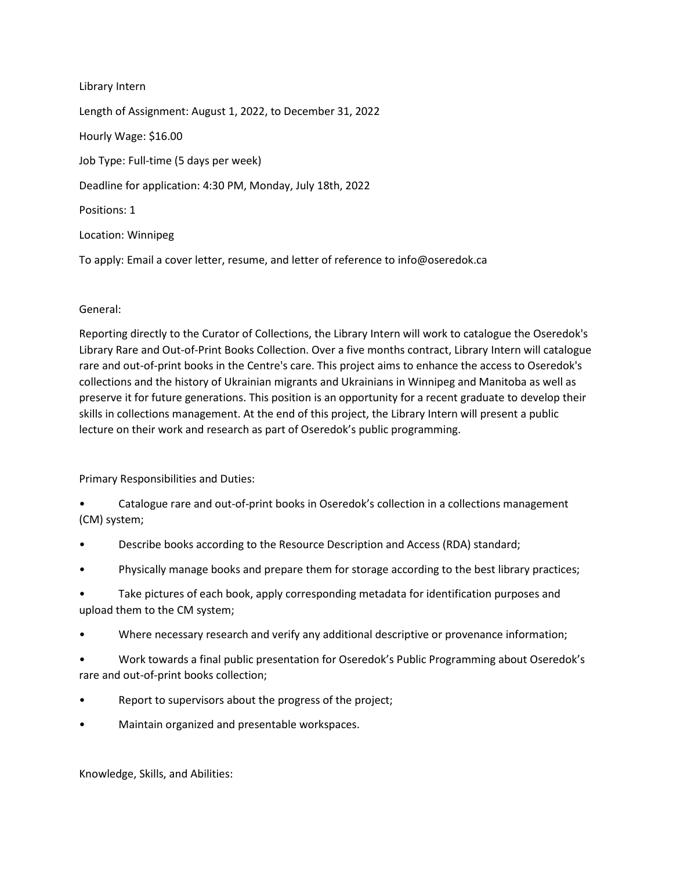Library Intern Length of Assignment: August 1, 2022, to December 31, 2022 Hourly Wage: \$16.00 Job Type: Full-time (5 days per week) Deadline for application: 4:30 PM, Monday, July 18th, 2022 Positions: 1 Location: Winnipeg

To apply: Email a cover letter, resume, and letter of reference to info@oseredok.ca

## General:

Reporting directly to the Curator of Collections, the Library Intern will work to catalogue the Oseredok's Library Rare and Out-of-Print Books Collection. Over a five months contract, Library Intern will catalogue rare and out-of-print books in the Centre's care. This project aims to enhance the access to Oseredok's collections and the history of Ukrainian migrants and Ukrainians in Winnipeg and Manitoba as well as preserve it for future generations. This position is an opportunity for a recent graduate to develop their skills in collections management. At the end of this project, the Library Intern will present a public lecture on their work and research as part of Oseredok's public programming.

Primary Responsibilities and Duties:

• Catalogue rare and out-of-print books in Oseredok's collection in a collections management (CM) system;

- Describe books according to the Resource Description and Access (RDA) standard;
- Physically manage books and prepare them for storage according to the best library practices;

• Take pictures of each book, apply corresponding metadata for identification purposes and upload them to the CM system;

- Where necessary research and verify any additional descriptive or provenance information;
- Work towards a final public presentation for Oseredok's Public Programming about Oseredok's rare and out-of-print books collection;
- Report to supervisors about the progress of the project;
- Maintain organized and presentable workspaces.

Knowledge, Skills, and Abilities: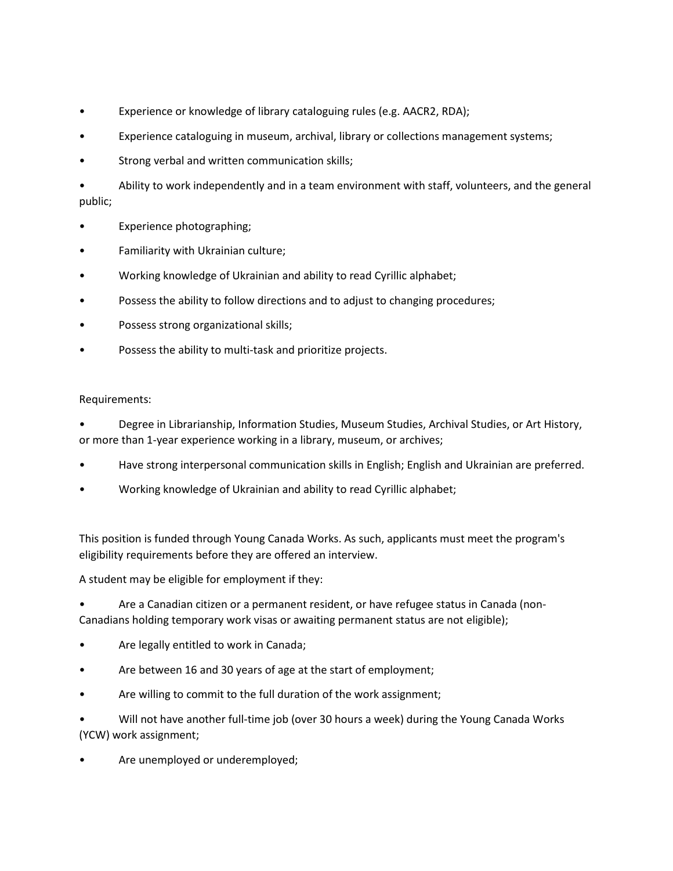- Experience or knowledge of library cataloguing rules (e.g. AACR2, RDA);
- Experience cataloguing in museum, archival, library or collections management systems;
- Strong verbal and written communication skills;
- Ability to work independently and in a team environment with staff, volunteers, and the general public;
- Experience photographing;
- Familiarity with Ukrainian culture;
- Working knowledge of Ukrainian and ability to read Cyrillic alphabet;
- Possess the ability to follow directions and to adjust to changing procedures;
- Possess strong organizational skills;
- Possess the ability to multi-task and prioritize projects.

## Requirements:

• Degree in Librarianship, Information Studies, Museum Studies, Archival Studies, or Art History, or more than 1-year experience working in a library, museum, or archives;

- Have strong interpersonal communication skills in English; English and Ukrainian are preferred.
- Working knowledge of Ukrainian and ability to read Cyrillic alphabet;

This position is funded through Young Canada Works. As such, applicants must meet the program's eligibility requirements before they are offered an interview.

A student may be eligible for employment if they:

• Are a Canadian citizen or a permanent resident, or have refugee status in Canada (non-Canadians holding temporary work visas or awaiting permanent status are not eligible);

- Are legally entitled to work in Canada;
- Are between 16 and 30 years of age at the start of employment;
- Are willing to commit to the full duration of the work assignment;

• Will not have another full-time job (over 30 hours a week) during the Young Canada Works (YCW) work assignment;

• Are unemployed or underemployed;